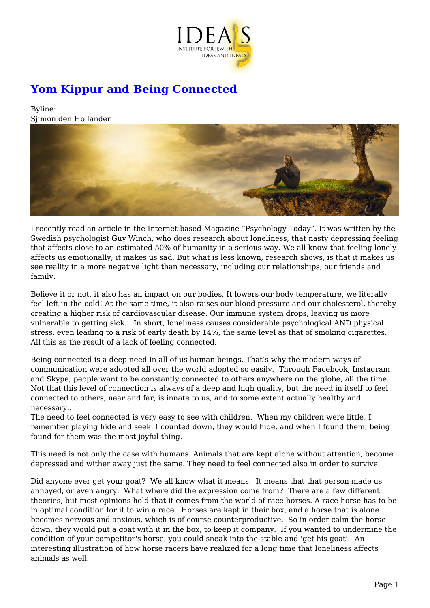

## **[Yom Kippur and Being Connected](https://www.jewishideas.org/article/yom-kippur-and-being-connected)**

Byline: Sjimon den Hollander



I recently read an article in the Internet based Magazine "Psychology Today". It was written by the Swedish psychologist Guy Winch, who does research about loneliness, that nasty depressing feeling that affects close to an estimated 50% of humanity in a serious way. We all know that feeling lonely affects us emotionally; it makes us sad. But what is less known, research shows, is that it makes us see reality in a more negative light than necessary, including our relationships, our friends and family.

Believe it or not, it also has an impact on our bodies. It lowers our body temperature, we literally feel left in the cold! At the same time, it also raises our blood pressure and our cholesterol, thereby creating a higher risk of cardiovascular disease. Our immune system drops, leaving us more vulnerable to getting sick... In short, loneliness causes considerable psychological AND physical stress, even leading to a risk of early death by 14%, the same level as that of smoking cigarettes. All this as the result of a lack of feeling connected.

Being connected is a deep need in all of us human beings. That's why the modern ways of communication were adopted all over the world adopted so easily. Through Facebook, Instagram and Skype, people want to be constantly connected to others anywhere on the globe, all the time. Not that this level of connection is always of a deep and high quality, but the need in itself to feel connected to others, near and far, is innate to us, and to some extent actually healthy and necessary..

The need to feel connected is very easy to see with children. When my children were little, I remember playing hide and seek. I counted down, they would hide, and when I found them, being found for them was the most joyful thing.

This need is not only the case with humans. Animals that are kept alone without attention, become depressed and wither away just the same. They need to feel connected also in order to survive.

Did anyone ever get your goat? We all know what it means. It means that that person made us annoyed, or even angry. What where did the expression come from? There are a few different theories, but most opinions hold that it comes from the world of race horses. A race horse has to be in optimal condition for it to win a race. Horses are kept in their box, and a horse that is alone becomes nervous and anxious, which is of course counterproductive. So in order calm the horse down, they would put a goat with it in the box, to keep it company. If you wanted to undermine the condition of your competitor's horse, you could sneak into the stable and 'get his goat'. An interesting illustration of how horse racers have realized for a long time that loneliness affects animals as well.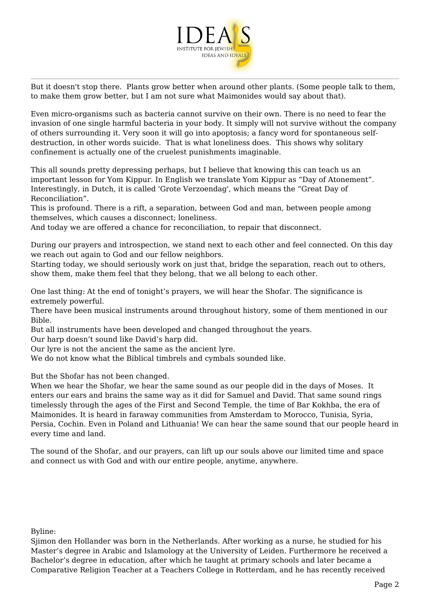

But it doesn't stop there. Plants grow better when around other plants. (Some people talk to them, to make them grow better, but I am not sure what Maimonides would say about that).

Even micro-organisms such as bacteria cannot survive on their own. There is no need to fear the invasion of one single harmful bacteria in your body. It simply will not survive without the company of others surrounding it. Very soon it will go into apoptosis; a fancy word for spontaneous selfdestruction, in other words suicide. That is what loneliness does. This shows why solitary confinement is actually one of the cruelest punishments imaginable.

This all sounds pretty depressing perhaps, but I believe that knowing this can teach us an important lesson for Yom Kippur. In English we translate Yom Kippur as "Day of Atonement". Interestingly, in Dutch, it is called 'Grote Verzoendag', which means the "Great Day of Reconciliation".

This is profound. There is a rift, a separation, between God and man, between people among themselves, which causes a disconnect; loneliness.

And today we are offered a chance for reconciliation, to repair that disconnect.

During our prayers and introspection, we stand next to each other and feel connected. On this day we reach out again to God and our fellow neighbors.

Starting today, we should seriously work on just that, bridge the separation, reach out to others, show them, make them feel that they belong, that we all belong to each other.

One last thing: At the end of tonight's prayers, we will hear the Shofar. The significance is extremely powerful.

There have been musical instruments around throughout history, some of them mentioned in our Bible.

But all instruments have been developed and changed throughout the years.

Our harp doesn't sound like David's harp did.

Our lyre is not the ancient the same as the ancient lyre.

We do not know what the Biblical timbrels and cymbals sounded like.

But the Shofar has not been changed.

When we hear the Shofar, we hear the same sound as our people did in the days of Moses. It enters our ears and brains the same way as it did for Samuel and David. That same sound rings timelessly through the ages of the First and Second Temple, the time of Bar Kokhba, the era of Maimonides. It is heard in faraway communities from Amsterdam to Morocco, Tunisia, Syria, Persia, Cochin. Even in Poland and Lithuania! We can hear the same sound that our people heard in every time and land.

The sound of the Shofar, and our prayers, can lift up our souls above our limited time and space and connect us with God and with our entire people, anytime, anywhere.

Byline:

Sjimon den Hollander was born in the Netherlands. After working as a nurse, he studied for his Master's degree in Arabic and Islamology at the University of Leiden. Furthermore he received a Bachelor's degree in education, after which he taught at primary schools and later became a Comparative Religion Teacher at a Teachers College in Rotterdam, and he has recently received